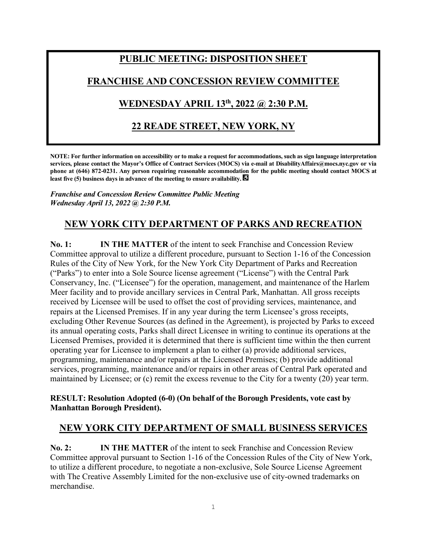# **PUBLIC MEETING: DISPOSITION SHEET**

### **FRANCHISE AND CONCESSION REVIEW COMMITTEE**

## **WEDNESDAY APRIL 13th , 2022 @ 2:30 P.M.**

## **22 READE STREET, NEW YORK, NY**

**NOTE: For further information on accessibility or to make a request for accommodations, such as sign language interpretation services, please contact the Mayor's Office of Contract Services (MOCS) via e-mail at DisabilityAffairs@mocs.nyc.gov or via phone at (646) 872-0231. Any person requiring reasonable accommodation for the public meeting should contact MOCS at least five (5) business days in advance of the meeting to ensure availability.** 

*Franchise and Concession Review Committee Public Meeting Wednesday April 13, 2022 @ 2:30 P.M.*

## **NEW YORK CITY DEPARTMENT OF PARKS AND RECREATION**

**No. 1: IN THE MATTER** of the intent to seek Franchise and Concession Review Committee approval to utilize a different procedure, pursuant to Section 1-16 of the Concession Rules of the City of New York, for the New York City Department of Parks and Recreation ("Parks") to enter into a Sole Source license agreement ("License") with the Central Park Conservancy, Inc. ("Licensee") for the operation, management, and maintenance of the Harlem Meer facility and to provide ancillary services in Central Park, Manhattan. All gross receipts received by Licensee will be used to offset the cost of providing services, maintenance, and repairs at the Licensed Premises. If in any year during the term Licensee's gross receipts, excluding Other Revenue Sources (as defined in the Agreement), is projected by Parks to exceed its annual operating costs, Parks shall direct Licensee in writing to continue its operations at the Licensed Premises, provided it is determined that there is sufficient time within the then current operating year for Licensee to implement a plan to either (a) provide additional services, programming, maintenance and/or repairs at the Licensed Premises; (b) provide additional services, programming, maintenance and/or repairs in other areas of Central Park operated and maintained by Licensee; or (c) remit the excess revenue to the City for a twenty (20) year term.

#### **RESULT: Resolution Adopted (6-0) (On behalf of the Borough Presidents, vote cast by Manhattan Borough President).**

#### **NEW YORK CITY DEPARTMENT OF SMALL BUSINESS SERVICES**

**No. 2: IN THE MATTER** of the intent to seek Franchise and Concession Review Committee approval pursuant to Section 1-16 of the Concession Rules of the City of New York, to utilize a different procedure, to negotiate a non-exclusive, Sole Source License Agreement with The Creative Assembly Limited for the non-exclusive use of city-owned trademarks on merchandise.